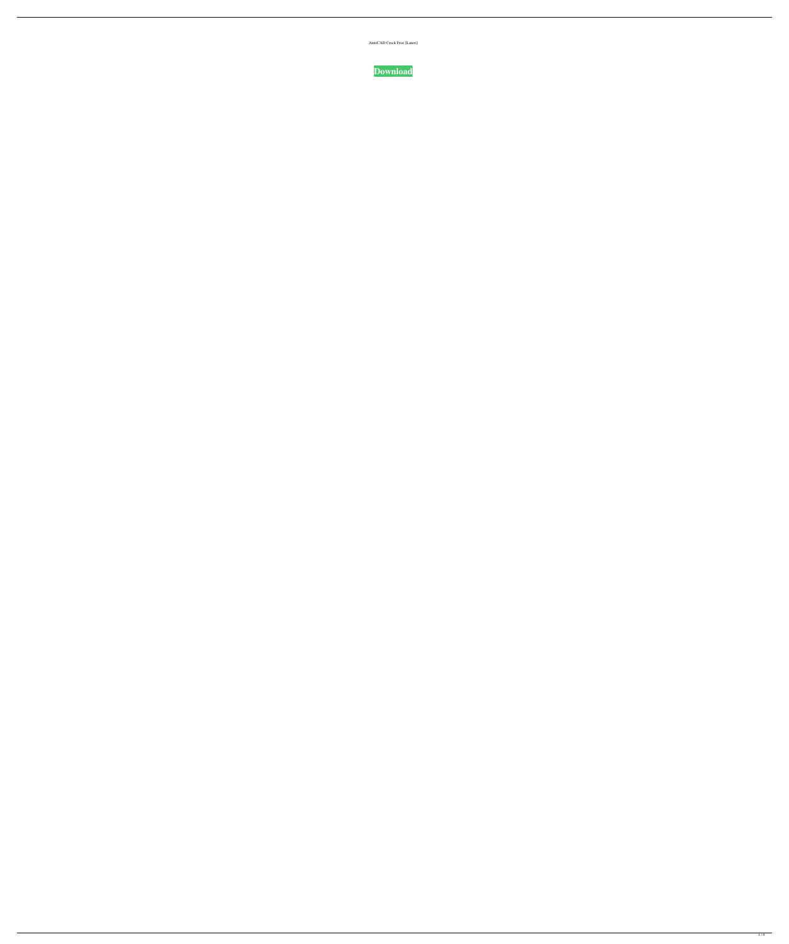| AutoCAD Crack Free [Latest] |  |
|-----------------------------|--|
|-----------------------------|--|

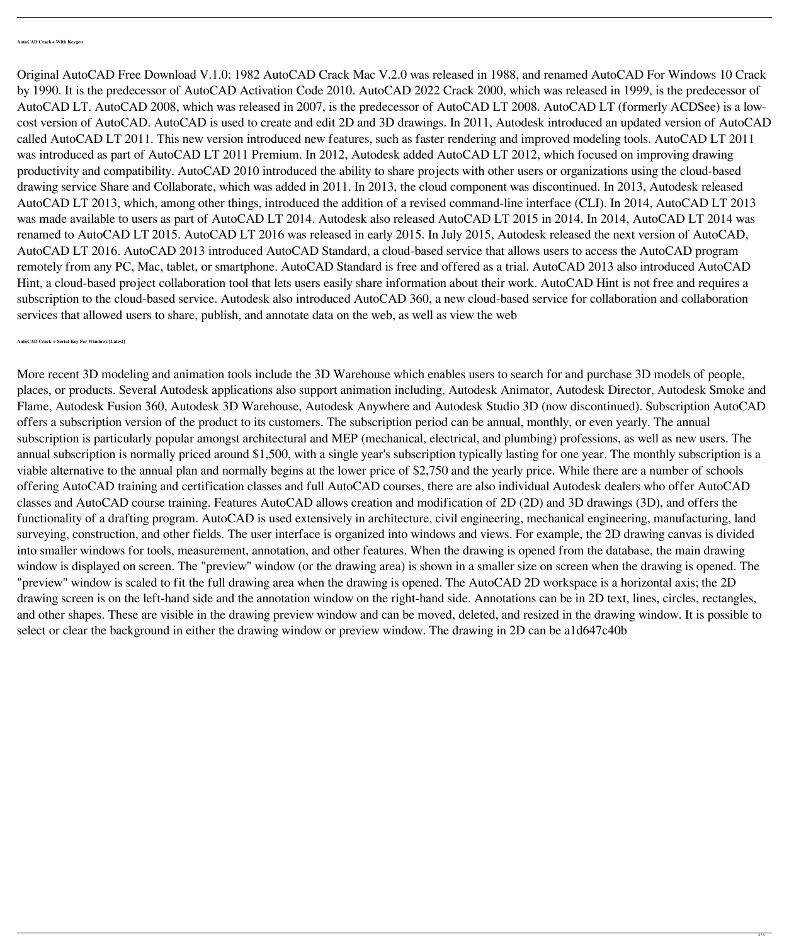Original AutoCAD Free Download V.1.0: 1982 AutoCAD Crack Mac V.2.0 was released in 1988, and renamed AutoCAD For Windows 10 Crack by 1990. It is the predecessor of AutoCAD Activation Code 2010. AutoCAD 2022 Crack 2000, which was released in 1999, is the predecessor of AutoCAD LT. AutoCAD 2008, which was released in 2007, is the predecessor of AutoCAD LT 2008. AutoCAD LT (formerly ACDSee) is a lowcost version of AutoCAD. AutoCAD is used to create and edit 2D and 3D drawings. In 2011, Autodesk introduced an updated version of AutoCAD called AutoCAD LT 2011. This new version introduced new features, such as faster rendering and improved modeling tools. AutoCAD LT 2011 was introduced as part of AutoCAD LT 2011 Premium. In 2012, Autodesk added AutoCAD LT 2012, which focused on improving drawing productivity and compatibility. AutoCAD 2010 introduced the ability to share projects with other users or organizations using the cloud-based drawing service Share and Collaborate, which was added in 2011. In 2013, the cloud component was discontinued. In 2013, Autodesk released AutoCAD LT 2013, which, among other things, introduced the addition of a revised command-line interface (CLI). In 2014, AutoCAD LT 2013 was made available to users as part of AutoCAD LT 2014. Autodesk also released AutoCAD LT 2015 in 2014. In 2014, AutoCAD LT 2014 was renamed to AutoCAD LT 2015. AutoCAD LT 2016 was released in early 2015. In July 2015, Autodesk released the next version of AutoCAD, AutoCAD LT 2016. AutoCAD 2013 introduced AutoCAD Standard, a cloud-based service that allows users to access the AutoCAD program remotely from any PC, Mac, tablet, or smartphone. AutoCAD Standard is free and offered as a trial. AutoCAD 2013 also introduced AutoCAD Hint, a cloud-based project collaboration tool that lets users easily share information about their work. AutoCAD Hint is not free and requires a subscription to the cloud-based service. Autodesk also introduced AutoCAD 360, a new cloud-based service for collaboration and collaboration services that allowed users to share, publish, and annotate data on the web, as well as view the web

More recent 3D modeling and animation tools include the 3D Warehouse which enables users to search for and purchase 3D models of people, places, or products. Several Autodesk applications also support animation including, Autodesk Animator, Autodesk Director, Autodesk Smoke and Flame, Autodesk Fusion 360, Autodesk 3D Warehouse, Autodesk Anywhere and Autodesk Studio 3D (now discontinued). Subscription AutoCAD offers a subscription version of the product to its customers. The subscription period can be annual, monthly, or even yearly. The annual subscription is particularly popular amongst architectural and MEP (mechanical, electrical, and plumbing) professions, as well as new users. The annual subscription is normally priced around \$1,500, with a single year's subscription typically lasting for one year. The monthly subscription is a viable alternative to the annual plan and normally begins at the lower price of \$2,750 and the yearly price. While there are a number of schools offering AutoCAD training and certification classes and full AutoCAD courses, there are also individual Autodesk dealers who offer AutoCAD classes and AutoCAD course training. Features AutoCAD allows creation and modification of 2D (2D) and 3D drawings (3D), and offers the functionality of a drafting program. AutoCAD is used extensively in architecture, civil engineering, mechanical engineering, manufacturing, land surveying, construction, and other fields. The user interface is organized into windows and views. For example, the 2D drawing canvas is divided into smaller windows for tools, measurement, annotation, and other features. When the drawing is opened from the database, the main drawing window is displayed on screen. The "preview" window (or the drawing area) is shown in a smaller size on screen when the drawing is opened. The "preview" window is scaled to fit the full drawing area when the drawing is opened. The AutoCAD 2D workspace is a horizontal axis; the 2D drawing screen is on the left-hand side and the annotation window on the right-hand side. Annotations can be in 2D text, lines, circles, rectangles, and other shapes. These are visible in the drawing preview window and can be moved, deleted, and resized in the drawing window. It is possible to select or clear the background in either the drawing window or preview window. The drawing in 2D can be a1d647c40b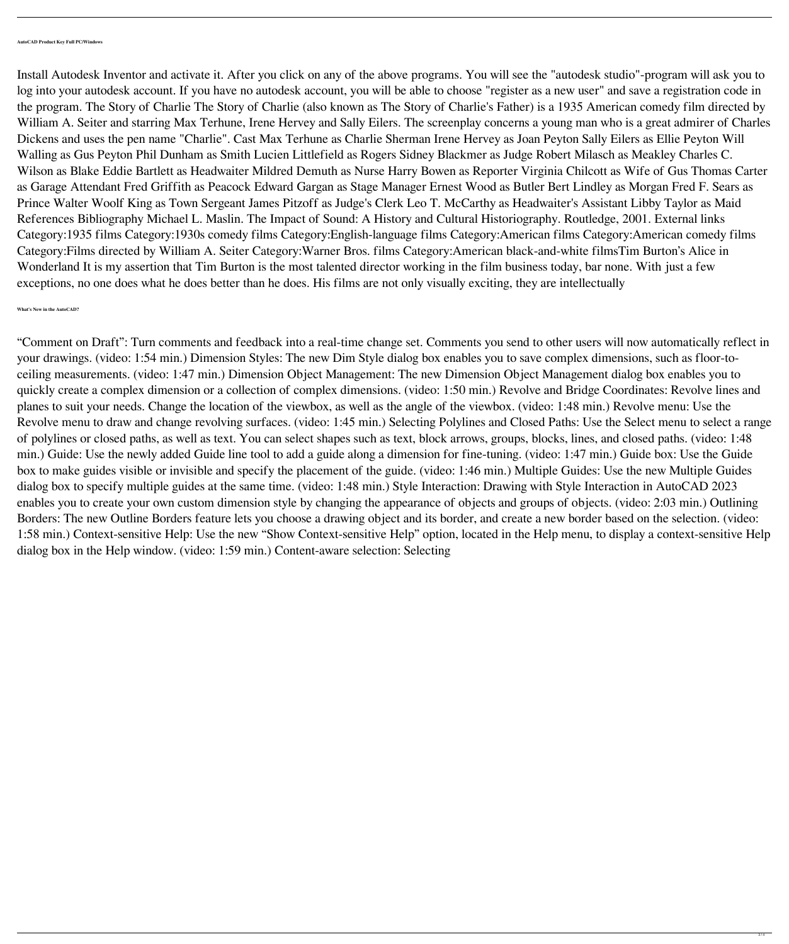Install Autodesk Inventor and activate it. After you click on any of the above programs. You will see the "autodesk studio"-program will ask you to log into your autodesk account. If you have no autodesk account, you will be able to choose "register as a new user" and save a registration code in the program. The Story of Charlie The Story of Charlie (also known as The Story of Charlie's Father) is a 1935 American comedy film directed by William A. Seiter and starring Max Terhune, Irene Hervey and Sally Eilers. The screenplay concerns a young man who is a great admirer of Charles Dickens and uses the pen name "Charlie". Cast Max Terhune as Charlie Sherman Irene Hervey as Joan Peyton Sally Eilers as Ellie Peyton Will Walling as Gus Peyton Phil Dunham as Smith Lucien Littlefield as Rogers Sidney Blackmer as Judge Robert Milasch as Meakley Charles C. Wilson as Blake Eddie Bartlett as Headwaiter Mildred Demuth as Nurse Harry Bowen as Reporter Virginia Chilcott as Wife of Gus Thomas Carter as Garage Attendant Fred Griffith as Peacock Edward Gargan as Stage Manager Ernest Wood as Butler Bert Lindley as Morgan Fred F. Sears as Prince Walter Woolf King as Town Sergeant James Pitzoff as Judge's Clerk Leo T. McCarthy as Headwaiter's Assistant Libby Taylor as Maid References Bibliography Michael L. Maslin. The Impact of Sound: A History and Cultural Historiography. Routledge, 2001. External links Category:1935 films Category:1930s comedy films Category:English-language films Category:American films Category:American comedy films Category:Films directed by William A. Seiter Category:Warner Bros. films Category:American black-and-white filmsTim Burton's Alice in Wonderland It is my assertion that Tim Burton is the most talented director working in the film business today, bar none. With just a few exceptions, no one does what he does better than he does. His films are not only visually exciting, they are intellectually

## **What's New in the AutoCAD?**

"Comment on Draft": Turn comments and feedback into a real-time change set. Comments you send to other users will now automatically reflect in your drawings. (video: 1:54 min.) Dimension Styles: The new Dim Style dialog box enables you to save complex dimensions, such as floor-toceiling measurements. (video: 1:47 min.) Dimension Object Management: The new Dimension Object Management dialog box enables you to quickly create a complex dimension or a collection of complex dimensions. (video: 1:50 min.) Revolve and Bridge Coordinates: Revolve lines and planes to suit your needs. Change the location of the viewbox, as well as the angle of the viewbox. (video: 1:48 min.) Revolve menu: Use the Revolve menu to draw and change revolving surfaces. (video: 1:45 min.) Selecting Polylines and Closed Paths: Use the Select menu to select a range of polylines or closed paths, as well as text. You can select shapes such as text, block arrows, groups, blocks, lines, and closed paths. (video: 1:48 min.) Guide: Use the newly added Guide line tool to add a guide along a dimension for fine-tuning. (video: 1:47 min.) Guide box: Use the Guide box to make guides visible or invisible and specify the placement of the guide. (video: 1:46 min.) Multiple Guides: Use the new Multiple Guides dialog box to specify multiple guides at the same time. (video: 1:48 min.) Style Interaction: Drawing with Style Interaction in AutoCAD 2023 enables you to create your own custom dimension style by changing the appearance of objects and groups of objects. (video: 2:03 min.) Outlining Borders: The new Outline Borders feature lets you choose a drawing object and its border, and create a new border based on the selection. (video: 1:58 min.) Context-sensitive Help: Use the new "Show Context-sensitive Help" option, located in the Help menu, to display a context-sensitive Help dialog box in the Help window. (video: 1:59 min.) Content-aware selection: Selecting